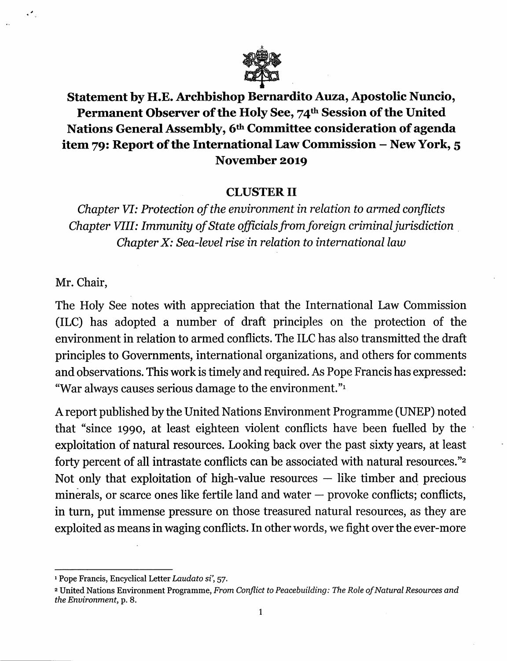

Statement by H.E. Archbishop Bernardito Auza, Apostolic Nuncio, Permanent Observer of the Holy See, 74<sup>th</sup> Session of the United Nations General Assembly, 6<sup>th</sup> Committee consideration of agenda item 79: Report of the International Law Commission - New York, 5 November 2019

## CLUSTER II

Chapter VI: Protection of the environment in relation to armed conflicts Chapter VIII: Immunity of State officials from foreign criminal jurisdiction Chapter X: Sea-level rise in relation to international law

Mr. Chair,

The Holy See notes with appreciation that the International Law Commission (ILC) has adopted a number of draft principles on the protection of the environment in relation to armed conflicts. The ILC has also transmitted the draft principles to Governments, international organizations, and others for comments and observations. This work is timely and required. As Pope Francis has expressed: "War always causes serious damage to the environment.

A report published by the United Nations Environment Programme (UNEP) noted that "since 1990, at least eighteen violent conflicts have been fuelled by the exploitation of natural resources. Looking back over the past sixty years, at least forty percent of all intrastate conflicts can be associated with natural resources."<sup>2</sup> Not only that exploitation of high-value resources — like timber and precious minerals, or scarce ones like fertile land and water — provoke conflicts; conflicts, in turn, put immense pressure on those treasured natural resources, as they are exploited as means in waging conflicts. In other words, we fight over the ever-more

<sup>&</sup>lt;sup>1</sup> Pope Francis, Encyclical Letter Laudato si', 57.

<sup>2</sup> United Nations Environment Programme, From Conflict to Peacebuilding: The Role of Natural Resources and the Environment, p. 8.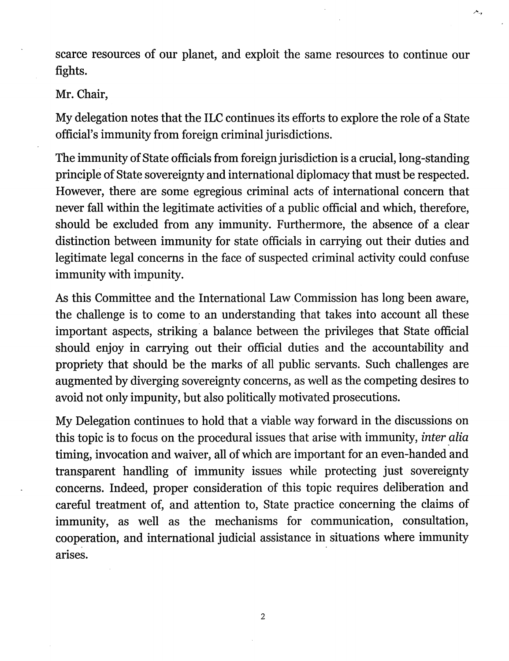scarce resources of our planet, and exploit the same resources to continue our fights.

ببعر

## Mr. Chair,

My delegation notes that the ILC continues its efforts to explore the role of a State official's immunity from foreign criminal jurisdictions.

The immunity of State officials from foreign jurisdiction is a crucial, long-standing principle of State sovereignty and international diplomacy that must be respected. However, there are some egregious criminal acts of international concern that never fall within the legitimate activities of a public official and which, therefore, should be excluded from any immunity. Furthermore, the absence of a clear distinction between immunity for state officials in carrying out their duties and legitimate legal concerns in the face of suspected criminal activity could confuse immunity with impunity.

As this Committee and the International Law Commission has long been aware, the challenge is to come to an understanding that takes into account all these important aspects, striking a balance between the privileges that State official should enjoy in carrying out their official duties and the accountability and propriety that should be the marks of all public servants. Such challenges are augmented by diverging sovereignty concerns, as well as the competing desires to avoid not only impunity, but also politically motivated prosecutions.

My Delegation continues to hold that a viable way forward in the discussions on this topic is to focus on the procedural issues that arise with immunity, inter alia timing, invocation and waiver, all of which are important for an even-handed and transparent handling of immunity issues while protecting just sovereignty concerns. Indeed, proper consideration of this topic requires deliberation and careful treatment of, and attention to. State practice concerning the claims of immunity, as well as the mechanisms for communication, consultation, cooperation, and international judicial assistance in situations where immunity arises.

 $\overline{2}$